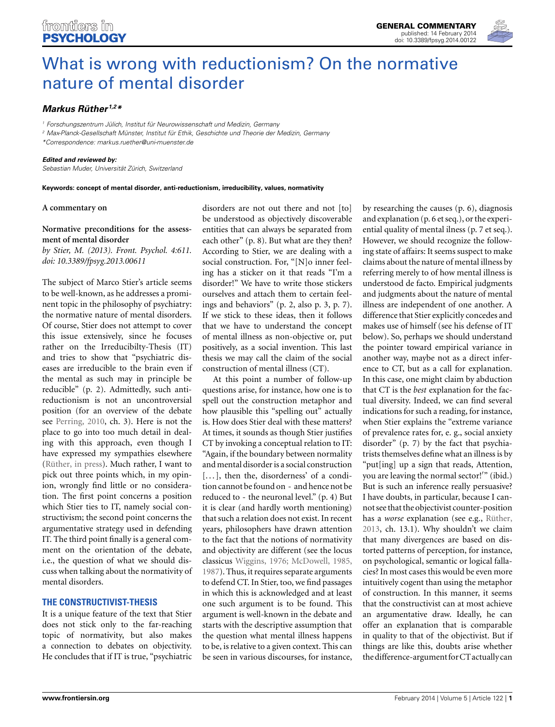

# [What is wrong with reductionism? On the normative](http://www.frontiersin.org/journal/10.3389/fpsyg.2014.00122/full) nature of mental disorder

# *[Markus Rüther](http://community.frontiersin.org/people/u/68004) 1,2\**

*<sup>1</sup> Forschungszentrum Jülich, Institut für Neurowissenschaft und Medizin, Germany*

*<sup>2</sup> Max-Planck-Gesellschaft Münster, Institut für Ethik, Geschichte und Theorie der Medizin, Germany*

*\*Correspondence: markus.ruether@uni-muenster.de*

#### *Edited and reviewed by:*

*Sebastian Muder, Universität Zürich, Switzerland*

**Keywords: concept of mental disorder, anti-reductionism, irreducibility, values, normativity**

#### **A commentary on**

**[Normative preconditions for the assess](http://www.frontiersin.org/theoretical_and_philosophical_psychology/10.3389/fpsyg.2013.00611/abstract)[ment of mental disorder](http://www.frontiersin.org/theoretical_and_philosophical_psychology/10.3389/fpsyg.2013.00611/abstract)**

*by Stier, M. (2013). Front. Psychol. 4:611. doi: 10.3389/fpsyg.2013.00611*

The subject of Marco Stier's article seems to be well-known, as he addresses a prominent topic in the philosophy of psychiatry: the normative nature of mental disorders. Of course, Stier does not attempt to cover this issue extensively, since he focuses rather on the Irreducibilty-Thesis (IT) and tries to show that "psychiatric diseases are irreducible to the brain even if the mental as such may in principle be reducible" (p. 2). Admittedly, such antireductionism is not an uncontroversial position (for an overview of the debate see [Perring](#page-1-0), [2010](#page-1-0), ch. 3). Here is not the place to go into too much detail in dealing with this approach, even though I have expressed my sympathies elsewhere [\(Rüther, in press\)](#page-1-1). Much rather, I want to pick out three points which, in my opinion, wrongly find little or no consideration. The first point concerns a position which Stier ties to IT, namely social constructivism; the second point concerns the argumentative strategy used in defending IT. The third point finally is a general comment on the orientation of the debate, i.e., the question of what we should discuss when talking about the normativity of mental disorders.

## **THE CONSTRUCTIVIST-THESIS**

It is a unique feature of the text that Stier does not stick only to the far-reaching topic of normativity, but also makes a connection to debates on objectivity. He concludes that if IT is true, "psychiatric

disorders are not out there and not [to] be understood as objectively discoverable entities that can always be separated from each other" (p. 8). But what are they then? According to Stier, we are dealing with a social construction. For, "[N]o inner feeling has a sticker on it that reads "I'm a disorder!" We have to write those stickers ourselves and attach them to certain feelings and behaviors" (p. 2, also p. 3, p. 7). If we stick to these ideas, then it follows that we have to understand the concept of mental illness as non-objective or, put positively, as a social invention. This last thesis we may call the claim of the social construction of mental illness (CT).

At this point a number of follow-up questions arise, for instance, how one is to spell out the construction metaphor and how plausible this "spelling out" actually is. How does Stier deal with these matters? At times, it sounds as though Stier justifies CT by invoking a conceptual relation to IT: "Again, if the boundary between normality and mental disorder is a social construction [...], then the, disorderness' of a condition cannot be found on - and hence not be reduced to - the neuronal level." (p. 4) But it is clear (and hardly worth mentioning) that such a relation does not exist. In recent years, philosophers have drawn attention to the fact that the notions of normativity and objectivity are different (see the locus classicus [Wiggins, 1976](#page-1-2); [McDowell, 1985,](#page-1-3) [1987](#page-1-4)). Thus, it requires separate arguments to defend CT. In Stier, too, we find passages in which this is acknowledged and at least one such argument is to be found. This argument is well-known in the debate and starts with the descriptive assumption that the question what mental illness happens to be, is relative to a given context. This can be seen in various discourses, for instance,

by researching the causes (p. 6), diagnosis and explanation (p. 6 et seq.), or the experiential quality of mental ilness (p. 7 et seq.). However, we should recognize the following state of affairs: It seems suspect to make claims about the nature of mental illness by referring merely to of how mental illness is understood de facto. Empirical judgments and judgments about the nature of mental illness are independent of one another. A difference that Stier explicitly concedes and makes use of himself (see his defense of IT below). So, perhaps we should understand the pointer toward empirical variance in another way, maybe not as a direct inference to CT, but as a call for explanation. In this case, one might claim by abduction that CT is the *best* explanation for the factual diversity. Indeed, we can find several indications for such a reading, for instance, when Stier explains the "extreme variance of prevalence rates for, e. g., social anxiety disorder" (p. 7) by the fact that psychiatrists themselves define what an illness is by "put[ing] up a sign that reads, Attention, you are leaving the normal sector!" (ibid.) But is such an inference really persuasive? I have doubts, in particular, because I cannot see that the objectivist counter-position has a *worse* explanation (see e.g., [Rüther,](#page-1-5) [2013](#page-1-5), ch. 13.1). Why shouldn't we claim that many divergences are based on distorted patterns of perception, for instance, on psychological, semantic or logical fallacies? In most cases this would be even more intuitively cogent than using the metaphor of construction. In this manner, it seems that the constructivist can at most achieve an argumentative draw. Ideally, he can offer an explanation that is comparable in quality to that of the objectivist. But if things are like this, doubts arise whether the difference-argument for CT actually can